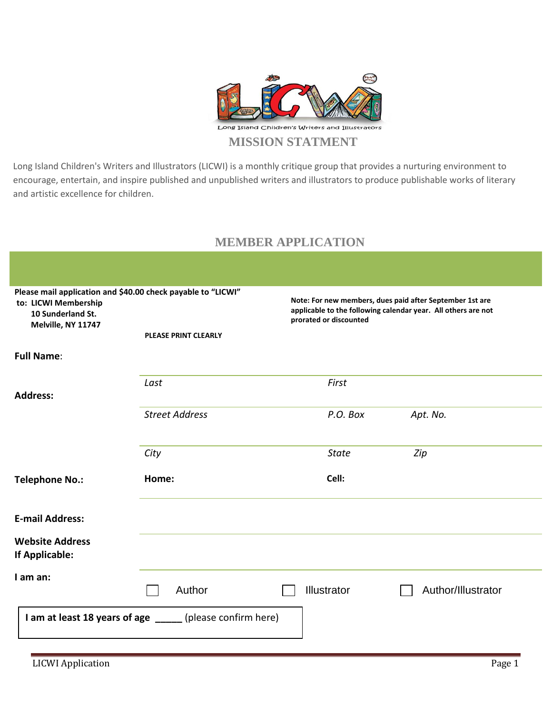

Long Island Children's Writers and Illustrators (LICWI) is a monthly critique group that provides a nurturing environment to encourage, entertain, and inspire published and unpublished writers and illustrators to produce publishable works of literary and artistic excellence for children.

## **MEMBER APPLICATION**

| Please mail application and \$40.00 check payable to "LICWI"<br>to: LICWI Membership<br>10 Sunderland St.<br>Melville, NY 11747<br><b>PLEASE PRINT CLEARLY</b> |                                                           | Note: For new members, dues paid after September 1st are<br>applicable to the following calendar year. All others are not<br>prorated or discounted |                    |  |  |
|----------------------------------------------------------------------------------------------------------------------------------------------------------------|-----------------------------------------------------------|-----------------------------------------------------------------------------------------------------------------------------------------------------|--------------------|--|--|
| <b>Full Name:</b>                                                                                                                                              |                                                           |                                                                                                                                                     |                    |  |  |
| <b>Address:</b>                                                                                                                                                | Last                                                      | First                                                                                                                                               |                    |  |  |
|                                                                                                                                                                | <b>Street Address</b>                                     | P.O. Box                                                                                                                                            | Apt. No.           |  |  |
|                                                                                                                                                                | City                                                      | <b>State</b>                                                                                                                                        | Zip                |  |  |
| <b>Telephone No.:</b>                                                                                                                                          | Home:                                                     | Cell:                                                                                                                                               |                    |  |  |
| <b>E-mail Address:</b>                                                                                                                                         |                                                           |                                                                                                                                                     |                    |  |  |
| <b>Website Address</b><br><b>If Applicable:</b>                                                                                                                |                                                           |                                                                                                                                                     |                    |  |  |
| I am an:                                                                                                                                                       | Author                                                    | <b>Illustrator</b>                                                                                                                                  | Author/Illustrator |  |  |
|                                                                                                                                                                | I am at least 18 years of age _____ (please confirm here) |                                                                                                                                                     |                    |  |  |